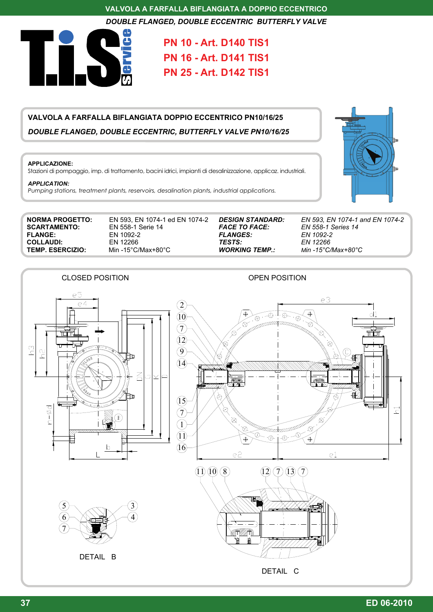

*DOUBLE FLANGED, DOUBLE ECCENTRIC BUTTERFLY VALVE*

**PN 10 - Art. D140 TIS1 PN 16 - Art. D141 TIS1 PN 25 - Art. D142 TIS1** 

## **VALVOLA A FARFALLA BIFLANGIATA DOPPIO ECCENTRICO PN10/16/25**

*DOUBLE FLANGED, DOUBLE ECCENTRIC, BUTTERFLY VALVE PN10/16/25* 

## **APPLICAZIONE:**

Stazioni di pompaggio, imp. di trattamento, bacini idrici, impianti di desalinizzazione, applicaz. industriali.

## *APPLICATION:*

*Pumping stations, treatment plants, reservoirs, desalination plants, industrial applications.* 

**SCARTAMENTO:** EN 558-1 Serie 14<br> **FLANGE:** EN 1092-2 **COLLAUDI:** EN 12266<br>TEMP. ESERCIZIO: Min -15°C/

**NORMA PROGETTO:** EN 593, EN 1074-1 ed EN 1074-2<br>**SCARTAMENTO:** EN 558-1 Serie 14 **FLANGE:** EN 1092-2 **TEMP. ESERCIZIO:** Min -15°C/Max+80°C

 $FLANGES:$ *TESTS: EN 12266*

*DESIGN STANDARD: EN 593, EN 1074-1 and EN 1074-2 FACE TO FACE: EN 558-1 Series 14 WORKING TEMP.: Min -15°C/Max+80°C*



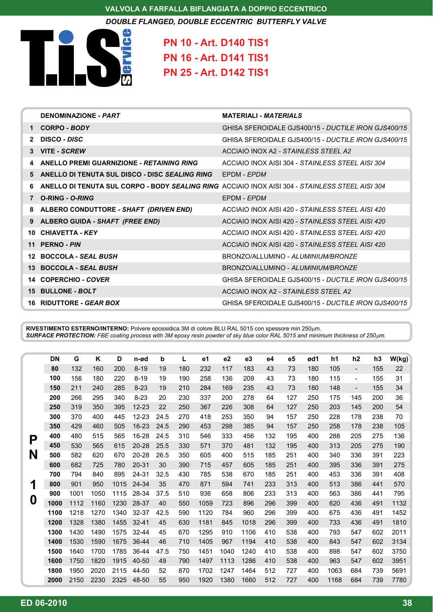**VALVOLA A FARFALLA BIFLANGIATA A DOPPIO ECCENTRICO** 



**PN 10 - Art. D140 TIS1 PN 16 - Art. D141 TIS1 PN 25 - Art. D142 TIS1** 

|                | <b>DENOMINAZIONE - PART</b>                                                                     | <b>MATERIALI - MATERIALS</b>                        |
|----------------|-------------------------------------------------------------------------------------------------|-----------------------------------------------------|
|                | 1 CORPO - BODY                                                                                  | GHISA SFEROIDALE GJS400/15 - DUCTILE IRON GJS400/15 |
| $\overline{2}$ | DISCO - DISC                                                                                    | GHISA SFEROIDALE GJS400/15 - DUCTILE IRON GJS400/15 |
|                | 3 VITE - SCREW                                                                                  | ACCIAIO INOX A2 - STAINLESS STEEL A2                |
|                | 4 ANELLO PREMI GUARNIZIONE - RETAINING RING                                                     | ACCIAIO INOX AISI 304 - STAINLESS STEEL AISI 304    |
|                | 5 ANELLO DI TENUTA SUL DISCO - DISC SEALING RING                                                | FPDM - EPDM                                         |
| 6.             | ANELLO DI TENUTA SUL CORPO - BODY SEALING RING ACCIAIO INOX AISI 304 - STAINLESS STEEL AISI 304 |                                                     |
|                | 7 O-RING - O-RING                                                                               | EPDM - EPDM                                         |
| 8              | ALBERO CONDUTTORE - SHAFT (DRIVEN END)                                                          | ACCIAIO INOX AISI 420 - STAINLESS STEEL AISI 420    |
|                | 9 ALBERO GUIDA - SHAFT (FREE END)                                                               | ACCIAIO INOX AISI 420 - STAINLESS STEEL AISI 420    |
|                | 10 CHIAVETTA - KEY                                                                              | ACCIAIO INOX AISI 420 - STAINLESS STEEL AISI 420    |
|                | 11 PERNO - PIN                                                                                  | ACCIAIO INOX AISI 420 - STAINLESS STEEL AISI 420    |
|                | 12 BOCCOLA - SEAL BUSH                                                                          | BRONZO/ALLUMINO - ALUMINIUM/BRONZE                  |
|                | 13 BOCCOLA - SEAL BUSH                                                                          | BRONZO/ALLUMINO - ALUMINIUM/BRONZE                  |
|                | 14 COPERCHIO - COVER                                                                            | GHISA SFEROIDALE GJS400/15 - DUCTILE IRON GJS400/15 |
|                | 15 BULLONE - BOLT                                                                               | ACCIAIO INOX A2 - STAINLESS STEEL A2                |
|                | 16 RIDUTTORE - GEAR BOX                                                                         | GHISA SFEROIDALE GJS400/15 - DUCTILE IRON GJS400/15 |

**RIVESTIMENTO ESTERNO/INTERNO:** Polvere epossidica 3M di colore BLU RAL 5015 con spessore min 250μm. *SURFACE PROTECTION: FBE coating process with 3M epoxy resin powder of sky blue color RAL 5015 and minimum thickness of 250*μ*m.* 

|   | <b>DN</b> | G    | Κ    | D    | n-ød      | b    | L   | e1   | e2   | e3   | e4  | e5  | ød1 | h1   | h <sub>2</sub>           | h <sub>3</sub> | W(kg) |
|---|-----------|------|------|------|-----------|------|-----|------|------|------|-----|-----|-----|------|--------------------------|----------------|-------|
|   | 80        | 132  | 160  | 200  | $8 - 19$  | 19   | 180 | 232  | 117  | 183  | 43  | 73  | 180 | 105  | $\overline{\phantom{a}}$ | 155            | 22    |
|   | 100       | 156  | 180  | 220  | $8 - 19$  | 19   | 190 | 258  | 136  | 209  | 43  | 73  | 180 | 115  | $\overline{\phantom{a}}$ | 155            | 31    |
|   | 150       | 211  | 240  | 285  | $8 - 23$  | 19   | 210 | 284  | 169  | 235  | 43  | 73  | 180 | 148  | $\overline{\phantom{a}}$ | 155            | 34    |
|   | 200       | 266  | 295  | 340  | $8 - 23$  | 20   | 230 | 337  | 200  | 278  | 64  | 127 | 250 | 175  | 145                      | 200            | 36    |
|   | 250       | 319  | 350  | 395  | $12 - 23$ | 22   | 250 | 367  | 226  | 308  | 64  | 127 | 250 | 203  | 145                      | 200            | 54    |
|   | 300       | 370  | 400  | 445  | 12-23     | 24.5 | 270 | 418  | 253  | 350  | 94  | 157 | 250 | 228  | 178                      | 238            | 70    |
|   | 350       | 429  | 460  | 505  | $16 - 23$ | 24.5 | 290 | 453  | 298  | 385  | 94  | 157 | 250 | 258  | 178                      | 238            | 105   |
| Ρ | 400       | 480  | 515  | 565  | 16-28     | 24.5 | 310 | 546  | 333  | 456  | 132 | 195 | 400 | 288  | 205                      | 275            | 136   |
|   | 450       | 530  | 565  | 615  | $20 - 28$ | 25.5 | 330 | 571  | 370  | 481  | 132 | 195 | 400 | 313  | 205                      | 275            | 190   |
| N | 500       | 582  | 620  | 670  | 20-28     | 26.5 | 350 | 605  | 400  | 515  | 185 | 251 | 400 | 340  | 336                      | 391            | 223   |
|   | 600       | 682  | 725  | 780  | 20-31     | 30   | 390 | 715  | 457  | 605  | 185 | 251 | 400 | 395  | 336                      | 391            | 275   |
|   | 700       | 794  | 840  | 895  | 24-31     | 32.5 | 430 | 785  | 538  | 670  | 185 | 251 | 400 | 453  | 336                      | 391            | 408   |
| 1 | 800       | 901  | 950  | 1015 | 24-34     | 35   | 470 | 871  | 594  | 741  | 233 | 313 | 400 | 513  | 386                      | 441            | 570   |
|   | 900       | 1001 | 1050 | 1115 | 28-34     | 37.5 | 510 | 936  | 658  | 806  | 233 | 313 | 400 | 563  | 386                      | 441            | 795   |
| 0 | 1000      | 1112 | 1160 | 1230 | 28-37     | 40   | 550 | 1059 | 723  | 896  | 296 | 399 | 400 | 620  | 436                      | 491            | 1132  |
|   | 1100      | 1218 | 1270 | 1340 | 32-37     | 42.5 | 590 | 1120 | 784  | 960  | 296 | 399 | 400 | 675  | 436                      | 491            | 1452  |
|   | 1200      | 1328 | 1380 | 1455 | $32 - 41$ | 45   | 630 | 1181 | 845  | 1018 | 296 | 399 | 400 | 733  | 436                      | 491            | 1810  |
|   | 1300      | 1430 | 1490 | 1575 | 32-44     | 45   | 670 | 1295 | 910  | 1106 | 410 | 538 | 400 | 793  | 547                      | 602            | 2011  |
|   | 1400      | 1530 | 1590 | 1675 | 36-44     | 46   | 710 | 1405 | 967  | 1194 | 410 | 538 | 400 | 843  | 547                      | 602            | 3134  |
|   | 1500      | 1640 | 1700 | 1785 | 36-44     | 47.5 | 750 | 1451 | 1040 | 1240 | 410 | 538 | 400 | 898  | 547                      | 602            | 3750  |
|   | 1600      | 1750 | 1820 | 1915 | 40-50     | 49   | 790 | 1497 | 1113 | 1286 | 410 | 538 | 400 | 963  | 547                      | 602            | 3951  |
|   | 1800      | 1950 | 2020 | 2115 | 44-50     | 52   | 870 | 1702 | 1247 | 1464 | 512 | 727 | 400 | 1063 | 684                      | 739            | 5691  |
|   | 2000      | 2150 | 2230 | 2325 | 48-50     | 55   | 950 | 1920 | 1380 | 1660 | 512 | 727 | 400 | 1168 | 684                      | 739            | 7780  |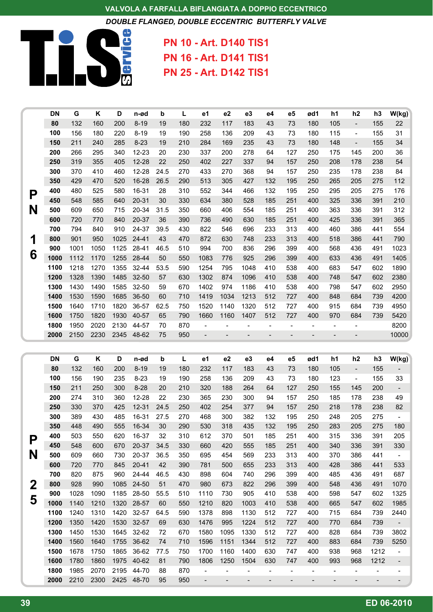**VALVOLA A FARFALLA BIFLANGIATA A DOPPIO ECCENTRICO** 



**PN 10 - Art. D140 TIS1 PN 16 - Art. D141 TIS1 PN 25 - Art. D142 TIS1** 

|   | <b>DN</b>       | G          | Κ          | D          | n-ød                 | b            | L          | e <sub>1</sub>               | e2             | e <sub>3</sub>               | e4                           | e <sub>5</sub>           | ød1                          | h <sub>1</sub>           | h <sub>2</sub>                 | h3                       | W(kg)                             |
|---|-----------------|------------|------------|------------|----------------------|--------------|------------|------------------------------|----------------|------------------------------|------------------------------|--------------------------|------------------------------|--------------------------|--------------------------------|--------------------------|-----------------------------------|
|   | 80              | 132        | 160        | 200        | $8 - 19$             | 19           | 180        | 232                          | 117            | 183                          | 43                           | 73                       | 180                          | 105                      | $\overline{\phantom{a}}$       | 155                      | 22                                |
|   | 100             | 156        | 180        | 220        | $8 - 19$             | 19           | 190        | 258                          | 136            | 209                          | 43                           | 73                       | 180                          | 115                      | $\blacksquare$                 | 155                      | 31                                |
|   | 150             | 211        | 240        | 285        | $8 - 23$             | 19           | 210        | 284                          | 169            | 235                          | 43                           | 73                       | 180                          | 148                      | $\overline{\phantom{a}}$       | 155                      | 34                                |
|   | 200             | 266        | 295        | 340        | 12-23                | 20           | 230        | 337                          | 200            | 278                          | 64                           | 127                      | 250                          | 175                      | 145                            | 200                      | 36                                |
|   | 250             | 319        | 355        | 405        | $12 - 28$            | 22           | 250        | 402                          | 227            | 337                          | 94                           | 157                      | 250                          | 208                      | 178                            | 238                      | 54                                |
|   | 300             | 370        | 410        | 460        | 12-28                | 24.5         | 270        | 433                          | 270            | 368                          | 94                           | 157                      | 250                          | 235                      | 178                            | 238                      | 84                                |
|   | 350             | 429        | 470        | 520        | 16-28                | 26.5         | 290        | 513                          | 305            | 427                          | 132                          | 195                      | 250                          | 265                      | 205                            | 275                      | 112                               |
| P | 400             | 480        | 525        | 580        | 16-31                | 28           | 310        | 552                          | 344            | 466                          | 132                          | 195                      | 250                          | 295                      | 205                            | 275                      | 176                               |
|   | 450             | 548        | 585        | 640        | $20 - 31$            | 30           | 330        | 634                          | 380            | 528                          | 185                          | 251                      | 400                          | 325                      | 336                            | 391                      | 210                               |
| N | 500             | 609        | 650        | 715        | 20-34                | 31.5         | 350        | 660                          | 406            | 554                          | 185                          | 251                      | 400                          | 363                      | 336                            | 391                      | 312                               |
|   | 600             | 720        | 770        | 840        | 20-37                | 36           | 390        | 736                          | 490            | 630                          | 185                          | 251                      | 400                          | 425                      | 336                            | 391                      | 365                               |
|   | 700             | 794        | 840        | 910        | 24-37                | 39.5         | 430        | 822                          | 546            | 696                          | 233                          | 313                      | 400                          | 460                      | 386                            | 441                      | 554                               |
| 1 | 800             | 901        | 950        | 1025       | $24 - 41$            | 43           | 470        | 872                          | 630            | 748                          | 233                          | 313                      | 400                          | 518                      | 386                            | 441                      | 790                               |
|   | 900             | 1001       | 1050       | 1125       | 28-41                | 46.5         | 510        | 994                          | 700            | 836                          | 296                          | 399                      | 400                          | 568                      | 436                            | 491                      | 1023                              |
| 6 | 1000            | 1112       | 1170       | 1255       | 28-44                | 50           | 550        | 1083                         | 776            | 925                          | 296                          | 399                      | 400                          | 633                      | 436                            | 491                      | 1405                              |
|   | 1100            | 1218       | 1270       | 1355       | 32-44                | 53.5         | 590        | 1254                         | 795            | 1048                         | 410                          | 538                      | 400                          | 683                      | 547                            | 602                      | 1890                              |
|   | 1200            | 1328       | 1390       | 1485       | 32-50                | 57           | 630        | 1302                         | 874            | 1096                         | 410                          | 538                      | 400                          | 748                      | 547                            | 602                      | 2380                              |
|   | 1300            | 1430       | 1490       | 1585       | 32-50                | 59           | 670        | 1402                         | 974            | 1186                         | 410                          | 538                      | 400                          | 798                      | 547                            | 602                      | 2950                              |
|   | 1400            | 1530       | 1590       | 1685       | 36-50                | 60           | 710        | 1419                         | 1034           | 1213                         | 512                          | 727                      | 400                          | 848                      | 684                            | 739                      | 4200                              |
|   | 1500            | 1640       | 1710       | 1820       | 36-57                | 62.5         | 750        | 1520                         | 1140           | 1320                         | 512                          | 727                      | 400                          | 915                      | 684                            | 739                      | 4950                              |
|   | 1600            | 1750       | 1820       | 1930       | 40-57                | 65           | 790        | 1660                         | 1160           | 1407                         | 512                          | 727                      | 400                          | 970                      | 684                            | 739                      | 5420                              |
|   | 1800            | 1950       | 2020       | 2130       | 44-57                | 70           | 870        | $\overline{a}$               |                | ÷                            | $\overline{a}$               |                          |                              |                          |                                |                          | 8200                              |
|   | 2000            | 2150       | 2230       | 2345       | 48-62                | 75           | 950        | $\overline{\phantom{a}}$     |                | L,                           | $\overline{\phantom{a}}$     | $\overline{\phantom{a}}$ | $\overline{\phantom{0}}$     | $\overline{\phantom{a}}$ | $\qquad \qquad \blacksquare$   |                          | 10000                             |
|   |                 |            |            |            |                      |              |            |                              |                |                              |                              |                          |                              |                          |                                |                          |                                   |
|   |                 |            |            |            |                      |              |            |                              |                |                              |                              |                          |                              |                          |                                |                          |                                   |
|   |                 |            |            |            |                      |              |            |                              |                | e <sub>3</sub>               | e4                           |                          |                              |                          |                                |                          |                                   |
|   | <b>DN</b><br>80 | G          | Κ<br>160   | D          | n-ød                 | b<br>19      | L          | e <sub>1</sub>               | e2<br>117      | 183                          | 43                           | e5<br>73                 | ød1<br>180                   | h1<br>105                | h2<br>$\overline{\phantom{a}}$ | h3                       | W(kg)<br>$\overline{\phantom{a}}$ |
|   | 100             | 132<br>156 | 190        | 200<br>235 | $8 - 19$<br>$8 - 23$ | 19           | 180<br>190 | 232<br>258                   | 136            | 209                          | 43                           | 73                       | 180                          | 123                      | $\blacksquare$                 | 155<br>155               | 33                                |
|   | 150             | 211        | 250        | 300        | $8 - 28$             | 20           | 210        | 320                          | 188            | 264                          | 64                           | 127                      | 250                          | 155                      | 145                            | 200                      | $\qquad \qquad \blacksquare$      |
|   | 200             | 274        |            | 360        |                      | 22           |            |                              |                | 300                          | 94                           | 157                      |                              |                          |                                |                          | 49                                |
|   | 250             | 330        | 310<br>370 | 425        | 12-28                | 24.5         | 230<br>250 | 365<br>402                   | 230<br>254     | 377                          | 94                           | 157                      | 250<br>250                   | 185<br>218               | 178<br>178                     | 238<br>238               | 82                                |
|   | 300             | 389        | 430        | 485        | $12 - 31$<br>16-31   | 27.5         | 270        | 468                          | 300            | 382                          | 132                          | 195                      | 250                          | 248                      | 205                            | 275                      |                                   |
|   | 350             | 448        | 490        | 555        |                      |              |            |                              |                |                              |                              |                          |                              | 283                      |                                |                          |                                   |
|   | 400             | 503        | 550        |            | 16-34                | 30           | 290        | 530                          | 318            | 435                          | 132                          | 195                      | 250<br>400                   | 315                      | 205<br>336                     | 275<br>391               | 180<br>205                        |
| Ρ | 450             | 548        | 600        | 620<br>670 | 16-37                | 32           | 310<br>330 | 612<br>660                   | 370<br>420     | 501<br>555                   | 185<br>185                   | 251<br>251               | 400                          | 340                      |                                | 391                      | 330                               |
|   | 500             | 609        | 660        | 730        | 20-37<br>20-37       | 34.5<br>36.5 | 350        | 695                          | 454            | 569                          | 233                          | 313                      | 400                          | 370                      | 336<br>386                     | 441                      | $\overline{\phantom{a}}$          |
| N | 600             | 720        | 770        | 845        | $20 - 41$            | 42           | 390        | 781                          | 500            | 655                          | 233                          | 313                      | 400                          | 428                      | 386                            | 441                      | 533                               |
|   | 700             | 820        | 875        | 960        | 24-44                | 46.5         | 430        | 898                          | 604            | 740                          | 296                          | 399                      | 400                          | 485                      | 436                            | 491                      | 687                               |
|   | 800             | 928        | 990        | 1085       | 24-50                | 51           | 470        | 980                          | 673            | 822                          | 296                          | 399                      | 400                          | 548                      | 436                            | 491                      | 1070                              |
| 2 | 900             | 1028       | 1090       | 1185       | 28-50                | 55.5         | 510        | 1110                         | 730            | 905                          | 410                          | 538                      | 400                          | 598                      | 547                            | 602                      | 1325                              |
| 5 | 1000            | 1140       | 1210       | 1320       | 28-57                | 60           | 550        | 1210                         | 820            | 1003                         | 410                          | 538                      | 400                          | 665                      | 547                            | 602                      | 1985                              |
|   | 1100            | 1240       | 1310       | 1420       | 32-57                | 64.5         | 590        | 1378                         | 898            | 1130                         | 512                          | 727                      | 400                          | 715                      | 684                            | 739                      | 2440                              |
|   | 1200            | 1350       | 1420       | 1530       | 32-57                | 69           | 630        | 1476                         | 995            | 1224                         | 512                          | 727                      | 400                          | 770                      | 684                            | 739                      | $\blacksquare$                    |
|   | 1300            | 1450       | 1530       | 1645       | 32-62                | 72           | 670        | 1580                         | 1095           | 1330                         | 512                          | 727                      | 400                          | 828                      | 684                            | 739                      | 3802                              |
|   | 1400            | 1560       | 1640       | 1755       | 36-62                | 74           | 710        | 1596                         | 1151           | 1344                         | 512                          | 727                      | 400                          | 883                      | 684                            | 739                      | 5250                              |
|   | 1500            | 1678       | 1750       | 1865       | 36-62                | 77.5         | 750        | 1700                         | 1160           | 1400                         | 630                          | 747                      | 400                          | 938                      | 968                            | 1212                     | $\blacksquare$                    |
|   | 1600            | 1780       | 1860       | 1975       | 40-62                | 81           | 790        | 1806                         | 1250           | 1504                         | 630                          | 747                      | 400                          | 993                      | 968                            | 1212                     | $\overline{\phantom{a}}$          |
|   | 1800            | 1985       | 2070       | 2195       | 44-70                | 88           | 870        | $\qquad \qquad \blacksquare$ | $\overline{a}$ | $\qquad \qquad \blacksquare$ | $\qquad \qquad \blacksquare$ | $\overline{\phantom{0}}$ | $\qquad \qquad \blacksquare$ | $\overline{\phantom{0}}$ | $\overline{\phantom{0}}$       | $\overline{\phantom{a}}$ | $\overline{\phantom{0}}$          |